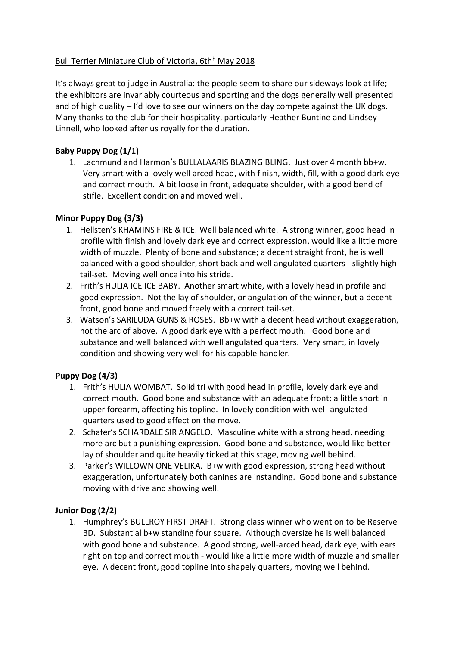### Bull Terrier Miniature Club of Victoria, 6th<sup>h</sup> May 2018

It's always great to judge in Australia: the people seem to share our sideways look at life; the exhibitors are invariably courteous and sporting and the dogs generally well presented and of high quality  $-1$ 'd love to see our winners on the day compete against the UK dogs. Many thanks to the club for their hospitality, particularly Heather Buntine and Lindsey Linnell, who looked after us royally for the duration.

# **Baby Puppy Dog (1/1)**

1. Lachmund and Harmon's BULLALAARIS BLAZING BLING. Just over 4 month bb+w. Very smart with a lovely well arced head, with finish, width, fill, with a good dark eye and correct mouth. A bit loose in front, adequate shoulder, with a good bend of stifle. Excellent condition and moved well.

#### **Minor Puppy Dog (3/3)**

- 1. Hellsten's KHAMINS FIRE & ICE. Well balanced white. A strong winner, good head in profile with finish and lovely dark eye and correct expression, would like a little more width of muzzle. Plenty of bone and substance; a decent straight front, he is well balanced with a good shoulder, short back and well angulated quarters - slightly high tail-set. Moving well once into his stride.
- 2. Frith's HULIA ICE ICE BABY. Another smart white, with a lovely head in profile and good expression. Not the lay of shoulder, or angulation of the winner, but a decent front, good bone and moved freely with a correct tail-set.
- 3. Watson's SARILUDA GUNS & ROSES. Bb+w with a decent head without exaggeration, not the arc of above. A good dark eye with a perfect mouth. Good bone and substance and well balanced with well angulated quarters. Very smart, in lovely condition and showing very well for his capable handler.

#### **Puppy Dog (4/3)**

- 1. Frith's HULIA WOMBAT. Solid tri with good head in profile, lovely dark eye and correct mouth. Good bone and substance with an adequate front; a little short in upper forearm, affecting his topline. In lovely condition with well-angulated quarters used to good effect on the move.
- 2. Schafer's SCHARDALE SIR ANGELO. Masculine white with a strong head, needing more arc but a punishing expression. Good bone and substance, would like better lay of shoulder and quite heavily ticked at this stage, moving well behind.
- 3. Parker's WILLOWN ONE VELIKA. B+w with good expression, strong head without exaggeration, unfortunately both canines are instanding. Good bone and substance moving with drive and showing well.

#### **Junior Dog (2/2)**

1. Humphrey's BULLROY FIRST DRAFT. Strong class winner who went on to be Reserve BD. Substantial b+w standing four square. Although oversize he is well balanced with good bone and substance. A good strong, well-arced head, dark eye, with ears right on top and correct mouth - would like a little more width of muzzle and smaller eye. A decent front, good topline into shapely quarters, moving well behind.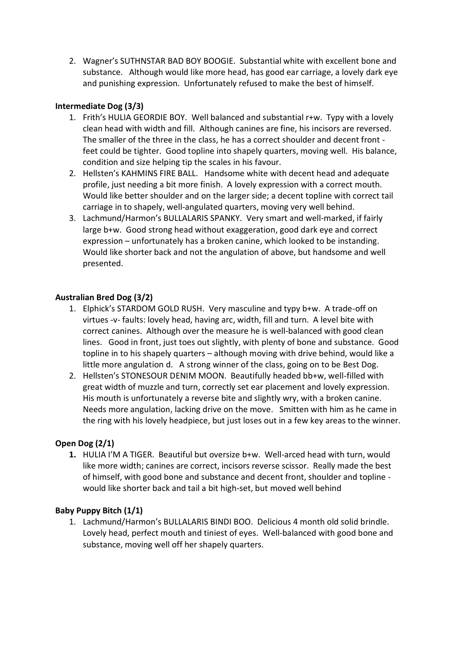2. Wagner's SUTHNSTAR BAD BOY BOOGIE. Substantial white with excellent bone and substance. Although would like more head, has good ear carriage, a lovely dark eye and punishing expression. Unfortunately refused to make the best of himself.

#### **Intermediate Dog (3/3)**

- 1. Frith's HULIA GEORDIE BOY. Well balanced and substantial r+w. Typy with a lovely clean head with width and fill. Although canines are fine, his incisors are reversed. The smaller of the three in the class, he has a correct shoulder and decent front feet could be tighter. Good topline into shapely quarters, moving well. His balance, condition and size helping tip the scales in his favour.
- 2. Hellsten's KAHMINS FIRE BALL. Handsome white with decent head and adequate profile, just needing a bit more finish. A lovely expression with a correct mouth. Would like better shoulder and on the larger side; a decent topline with correct tail carriage in to shapely, well-angulated quarters, moving very well behind.
- 3. Lachmund/Harmon's BULLALARIS SPANKY. Very smart and well-marked, if fairly large b+w. Good strong head without exaggeration, good dark eye and correct expression – unfortunately has a broken canine, which looked to be instanding. Would like shorter back and not the angulation of above, but handsome and well presented.

# **Australian Bred Dog (3/2)**

- 1. Elphick's STARDOM GOLD RUSH. Very masculine and typy b+w. A trade-off on virtues -v- faults: lovely head, having arc, width, fill and turn. A level bite with correct canines. Although over the measure he is well-balanced with good clean lines. Good in front, just toes out slightly, with plenty of bone and substance. Good topline in to his shapely quarters – although moving with drive behind, would like a little more angulation d. A strong winner of the class, going on to be Best Dog.
- 2. Hellsten's STONESOUR DENIM MOON. Beautifully headed bb+w, well-filled with great width of muzzle and turn, correctly set ear placement and lovely expression. His mouth is unfortunately a reverse bite and slightly wry, with a broken canine. Needs more angulation, lacking drive on the move. Smitten with him as he came in the ring with his lovely headpiece, but just loses out in a few key areas to the winner.

# **Open Dog (2/1)**

**1.** HULIA I'M A TIGER. Beautiful but oversize b+w. Well-arced head with turn, would like more width; canines are correct, incisors reverse scissor. Really made the best of himself, with good bone and substance and decent front, shoulder and topline would like shorter back and tail a bit high-set, but moved well behind

#### **Baby Puppy Bitch (1/1)**

1. Lachmund/Harmon's BULLALARIS BINDI BOO. Delicious 4 month old solid brindle. Lovely head, perfect mouth and tiniest of eyes. Well-balanced with good bone and substance, moving well off her shapely quarters.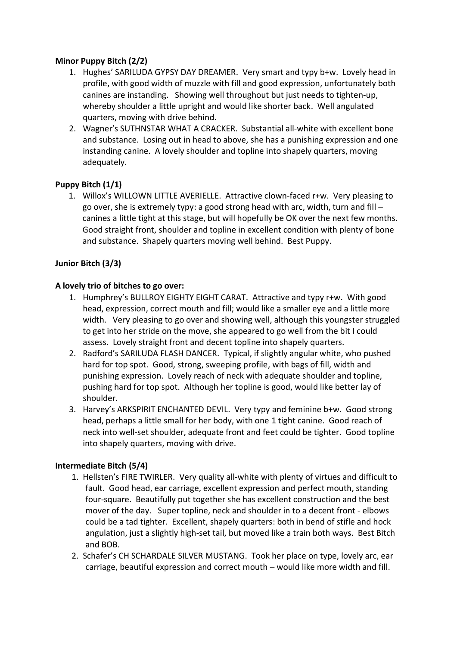# **Minor Puppy Bitch (2/2)**

- 1. Hughes' SARILUDA GYPSY DAY DREAMER. Very smart and typy b+w. Lovely head in profile, with good width of muzzle with fill and good expression, unfortunately both canines are instanding. Showing well throughout but just needs to tighten-up, whereby shoulder a little upright and would like shorter back. Well angulated quarters, moving with drive behind.
- 2. Wagner's SUTHNSTAR WHAT A CRACKER. Substantial all-white with excellent bone and substance. Losing out in head to above, she has a punishing expression and one instanding canine. A lovely shoulder and topline into shapely quarters, moving adequately.

#### **Puppy Bitch (1/1)**

1. Willox's WILLOWN LITTLE AVERIELLE. Attractive clown-faced r+w. Very pleasing to go over, she is extremely typy: a good strong head with arc, width, turn and fill – canines a little tight at this stage, but will hopefully be OK over the next few months. Good straight front, shoulder and topline in excellent condition with plenty of bone and substance. Shapely quarters moving well behind. Best Puppy.

# **Junior Bitch (3/3)**

#### **A lovely trio of bitches to go over:**

- 1. Humphrey's BULLROY EIGHTY EIGHT CARAT. Attractive and typy r+w. With good head, expression, correct mouth and fill; would like a smaller eye and a little more width. Very pleasing to go over and showing well, although this youngster struggled to get into her stride on the move, she appeared to go well from the bit I could assess. Lovely straight front and decent topline into shapely quarters.
- 2. Radford's SARILUDA FLASH DANCER. Typical, if slightly angular white, who pushed hard for top spot. Good, strong, sweeping profile, with bags of fill, width and punishing expression. Lovely reach of neck with adequate shoulder and topline, pushing hard for top spot. Although her topline is good, would like better lay of shoulder.
- 3. Harvey's ARKSPIRIT ENCHANTED DEVIL. Very typy and feminine b+w. Good strong head, perhaps a little small for her body, with one 1 tight canine. Good reach of neck into well-set shoulder, adequate front and feet could be tighter. Good topline into shapely quarters, moving with drive.

#### **Intermediate Bitch (5/4)**

- 1. Hellsten's FIRE TWIRLER. Very quality all-white with plenty of virtues and difficult to fault. Good head, ear carriage, excellent expression and perfect mouth, standing four-square. Beautifully put together she has excellent construction and the best mover of the day. Super topline, neck and shoulder in to a decent front - elbows could be a tad tighter. Excellent, shapely quarters: both in bend of stifle and hock angulation, just a slightly high-set tail, but moved like a train both ways. Best Bitch and BOB.
- 2. Schafer's CH SCHARDALE SILVER MUSTANG. Took her place on type, lovely arc, ear carriage, beautiful expression and correct mouth – would like more width and fill.